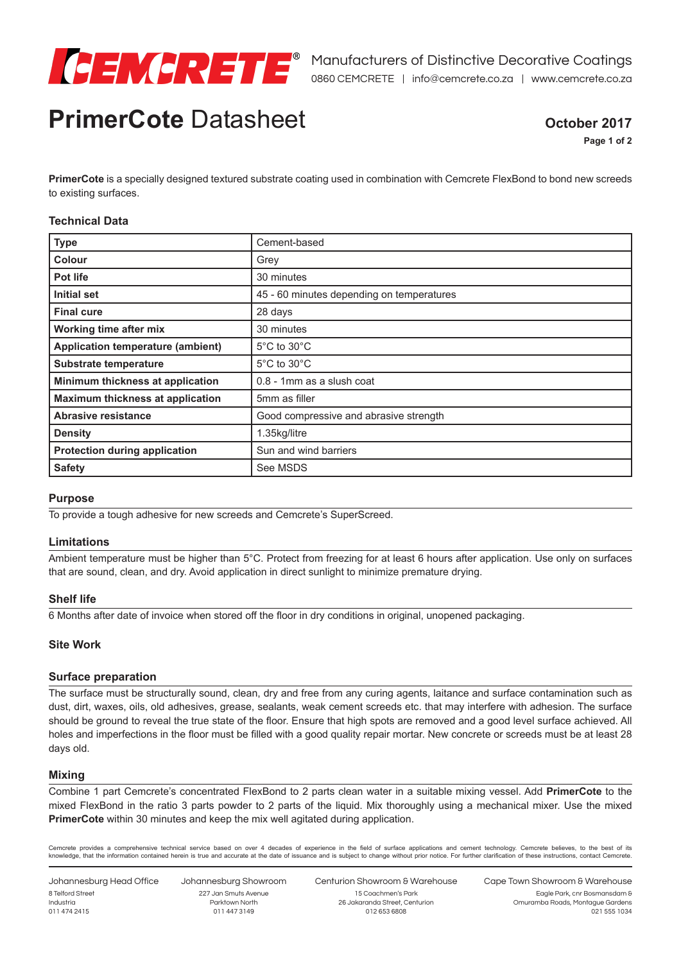

# **PrimerCote** Datasheet **October 2017**

**Page 1 of 2**

**PrimerCote** is a specially designed textured substrate coating used in combination with Cemcrete FlexBond to bond new screeds to existing surfaces.

### **Technical Data**

| <b>Type</b>                              | Cement-based                              |
|------------------------------------------|-------------------------------------------|
| <b>Colour</b>                            | Grey                                      |
| Pot life                                 | 30 minutes                                |
| <b>Initial set</b>                       | 45 - 60 minutes depending on temperatures |
| <b>Final cure</b>                        | 28 days                                   |
| Working time after mix                   | 30 minutes                                |
| <b>Application temperature (ambient)</b> | $5^{\circ}$ C to $30^{\circ}$ C           |
| <b>Substrate temperature</b>             | $5^{\circ}$ C to $30^{\circ}$ C           |
| Minimum thickness at application         | 0.8 - 1mm as a slush coat                 |
| Maximum thickness at application         | 5mm as filler                             |
| Abrasive resistance                      | Good compressive and abrasive strength    |
| <b>Density</b>                           | 1.35kg/litre                              |
| <b>Protection during application</b>     | Sun and wind barriers                     |
| <b>Safety</b>                            | See MSDS                                  |

### **Purpose**

To provide a tough adhesive for new screeds and Cemcrete's SuperScreed.

### **Limitations**

Ambient temperature must be higher than 5°C. Protect from freezing for at least 6 hours after application. Use only on surfaces that are sound, clean, and dry. Avoid application in direct sunlight to minimize premature drying.

### **Shelf life**

6 Months after date of invoice when stored off the floor in dry conditions in original, unopened packaging.

### **Site Work**

### **Surface preparation**

The surface must be structurally sound, clean, dry and free from any curing agents, laitance and surface contamination such as dust, dirt, waxes, oils, old adhesives, grease, sealants, weak cement screeds etc. that may interfere with adhesion. The surface should be ground to reveal the true state of the floor. Ensure that high spots are removed and a good level surface achieved. All holes and imperfections in the floor must be filled with a good quality repair mortar. New concrete or screeds must be at least 28 days old.

### **Mixing**

Combine 1 part Cemcrete's concentrated FlexBond to 2 parts clean water in a suitable mixing vessel. Add **PrimerCote** to the mixed FlexBond in the ratio 3 parts powder to 2 parts of the liquid. Mix thoroughly using a mechanical mixer. Use the mixed **PrimerCote** within 30 minutes and keep the mix well agitated during application.

Cemcrete provides a comprehensive technical service based on over 4 decades of experience in the field of surface applications and cement technology. Cemcrete believes, to the best of its knowledge, that the information contained herein is true and accurate at the date of issuance and is subject to change without prior notice. For further clarification of these instructions, contact Cemcrete.

Johannesburg Head Office 8 Telford Street Industria 011 474 2415

Johannesburg Showroom 227 Jan Smuts Avenue Parktown North 011 447 3149

Centurion Showroom & Warehouse 15 Coachmen's Park 26 Jakaranda Street, Centurion 012 653 6808

Cape Town Showroom & Warehouse Eagle Park, cnr Bosmansdam & Omuramba Roads, Montague Gardens

021 555 1034